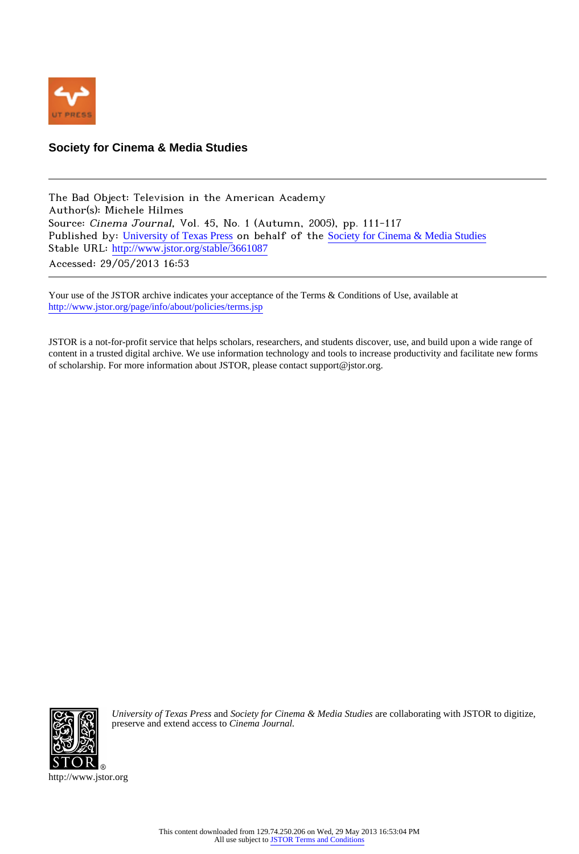

# **Society for Cinema & Media Studies**

The Bad Object: Television in the American Academy Author(s): Michele Hilmes Source: Cinema Journal, Vol. 45, No. 1 (Autumn, 2005), pp. 111-117 Published by: [University of Texas Press](http://www.jstor.org/action/showPublisher?publisherCode=texas) on behalf of the [Society for Cinema & Media Studies](http://www.jstor.org/action/showPublisher?publisherCode=scms) Stable URL: [http://www.jstor.org/stable/3661087](http://www.jstor.org/stable/3661087?origin=JSTOR-pdf) Accessed: 29/05/2013 16:53

Your use of the JSTOR archive indicates your acceptance of the Terms & Conditions of Use, available at <http://www.jstor.org/page/info/about/policies/terms.jsp>

JSTOR is a not-for-profit service that helps scholars, researchers, and students discover, use, and build upon a wide range of content in a trusted digital archive. We use information technology and tools to increase productivity and facilitate new forms of scholarship. For more information about JSTOR, please contact support@jstor.org.



*University of Texas Press* and *Society for Cinema & Media Studies* are collaborating with JSTOR to digitize, preserve and extend access to *Cinema Journal.*

http://www.jstor.org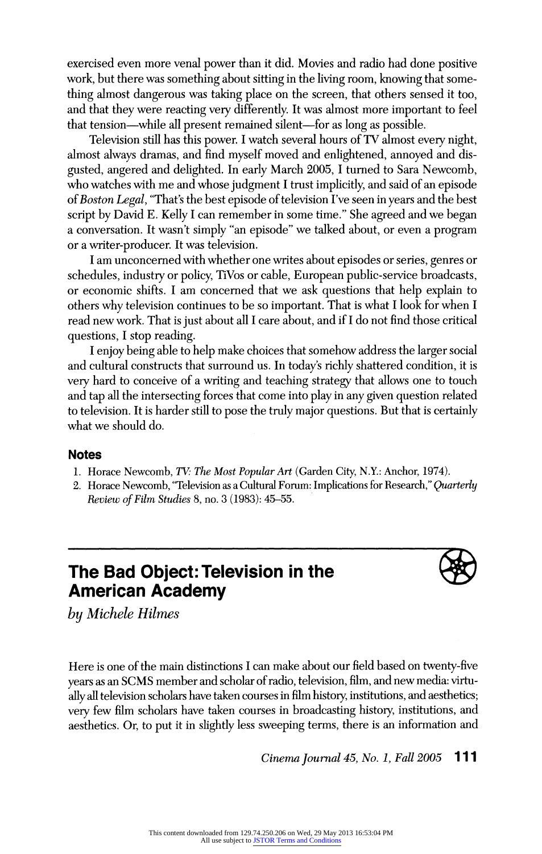**exercised even more venal power than it did. Movies and radio had done positive work, but there was something about sitting in the living room, knowing that something almost dangerous was taking place on the screen, that others sensed it too, and that they were reacting very differently. It was almost more important to feel that tension-while all present remained silent-for as long as possible.** 

**Television still has this power. I watch several hours of TV almost every night, almost always dramas, and find myself moved and enlightened, annoyed and disgusted, angered and delighted. In early March 2005, I turned to Sara Newcomb, who watches with me and whose judgment I trust implicitly, and said of an episode of Boston Legal, "That's the best episode of television I've seen in years and the best script by David E. Kelly I can remember in some time." She agreed and we began a conversation. It wasn't simply "an episode" we talked about, or even a program or a writer-producer. It was television.** 

**I am unconcerned with whether one writes about episodes or series, genres or schedules, industry or policy, TiVos or cable, European public-service broadcasts, or economic shifts. I am concerned that we ask questions that help explain to others why television continues to be so important. That is what I look for when I read new work. That is just about all I care about, and if I do not find those critical questions, I stop reading.** 

**I enjoy being able to help make choices that somehow address the larger social and cultural constructs that surround us. In today's richly shattered condition, it is very hard to conceive of a writing and teaching strategy that allows one to touch and tap all the intersecting forces that come into play in any given question related to television. It is harder still to pose the truly major questions. But that is certainly what we should do.** 

#### **Notes**

- **1. Horace Newcomb, TV: The Most Popular Art (Garden City, N.Y.: Anchor, 1974).**
- **2. Horace Newcomb, "Television as a Cultural Forum: Implications for Research," Quarterly Review of Film Studies 8, no. 3 (1983): 45-55.**

# **The Bad Object: Television in the American Academy**



**by Michele Hilmes** 

**Here is one of the main distinctions I can make about our field based on twenty-five years as an SCMS member and scholar of radio, television, film, and new media: virtually all television scholars have taken courses in film history, institutions, and aesthetics; very few film scholars have taken courses in broadcasting history, institutions, and aesthetics. Or, to put it in slightly less sweeping terms, there is an information and** 

**Cinema Journal 45, No. 1, Fall 2005 111**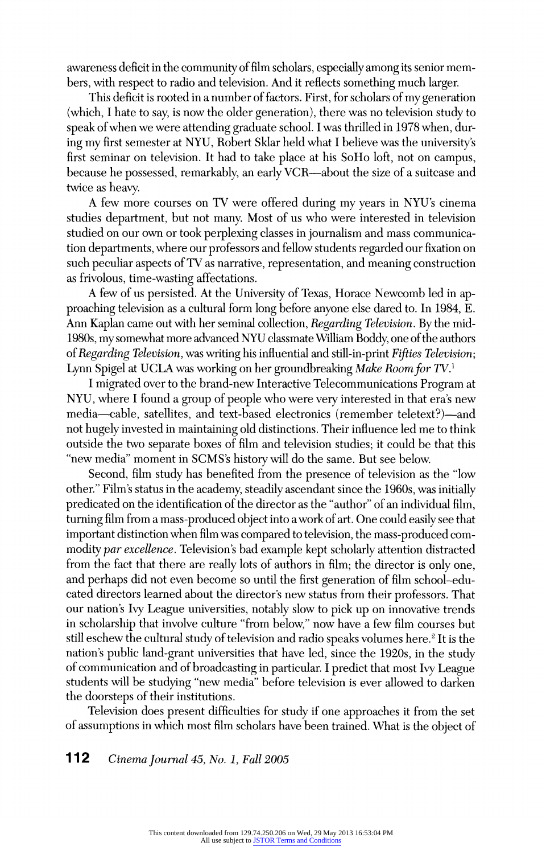**awareness deficit in the community of film scholars, especially among its senior members, with respect to radio and television. And it reflects something much larger.** 

**This deficit is rooted in a number of factors. First, for scholars of my generation (which, I hate to say, is now the older generation), there was no television study to speak of when we were attending graduate school. I was thrilled in 1978 when, during my first semester at NYU, Robert Sklar held what I believe was the university's first seminar on television. It had to take place at his SoHo loft, not on campus, because he possessed, remarkably, an early VCR-about the size of a suitcase and twice as heavy.** 

**A few more courses on TV were offered during my years in NYU's cinema studies department, but not many. Most of us who were interested in television studied on our own or took perplexing classes in journalism and mass communication departments, where our professors and fellow students regarded our fixation on such peculiar aspects of TV as narrative, representation, and meaning construction as frivolous, time-wasting affectations.** 

**A few of us persisted. At the University of Texas, Horace Newcomb led in approaching television as a cultural form long before anyone else dared to. In 1984, E. Ann Kaplan came out with her seminal collection, Regarding Television. By the mid-1980s, my somewhat more advanced NYU classmate William Boddy, one of the authors of Regarding Television, was writing his influential and still-in-print Fifties Television;**  Lynn Spigel at UCLA was working on her groundbreaking *Make Room for TV*.<sup>1</sup>

**I migrated over to the brand-new Interactive Telecommunications Program at NYU, where I found a group of people who were very interested in that era's new media-cable, satellites, and text-based electronics (remember teletext?)-and not hugely invested in maintaining old distinctions. Their influence led me to think outside the two separate boxes of film and television studies; it could be that this "new media" moment in SCMS's history will do the same. But see below.** 

**Second, film study has benefited from the presence of television as the "low other." Film's status in the academy, steadily ascendant since the 1960s, was initially predicated on the identification of the director as the "author" of an individual film, turning film from a mass-produced object into a work of art. One could easily see that important distinction when film was compared to television, the mass-produced commodity par excellence. Television's bad example kept scholarly attention distracted from the fact that there are really lots of authors in film; the director is only one, and perhaps did not even become so until the first generation of film school-educated directors learned about the director's new status from their professors. That our nation's Ivy League universities, notably slow to pick up on innovative trends in scholarship that involve culture "from below," now have a few film courses but still eschew the cultural study of television and radio speaks volumes here.2 It is the nation's public land-grant universities that have led, since the 1920s, in the study of communication and of broadcasting in particular. I predict that most Ivy League students will be studying "new media" before television is ever allowed to darken the doorsteps of their institutions.** 

**Television does present difficulties for study if one approaches it from the set of assumptions in which most film scholars have been trained. What is the object of** 

### **112 Cinema Journal 45, No. 1, Fall 2005**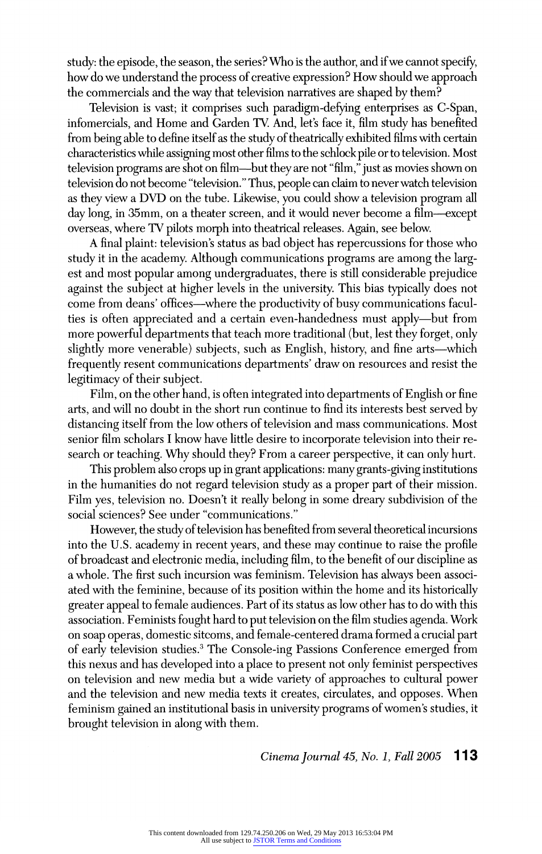**study: the episode, the season, the series? Who is the author, and if we cannot specify, how do we understand the process of creative expression? How should we approach the commercials and the way that television narratives are shaped by them?** 

**Television is vast; it comprises such paradigm-defying enterprises as C-Span, infomercials, and Home and Garden TV. And, let's face it, film study has benefited from being able to define itself as the study of theatrically exhibited films with certain characteristics while assigning most other films to the schlock pile or to television. Most television programs are shot on film-but they are not "film," just as movies shown on television do not become "television." Thus, people can claim to never watch television as they view a DVD on the tube. Likewise, you could show a television program all day long, in 35mm, on a theater screen, and it would never become a film-except overseas, where TV pilots morph into theatrical releases. Again, see below.** 

**A final plaint: television's status as bad object has repercussions for those who study it in the academy. Although communications programs are among the largest and most popular among undergraduates, there is still considerable prejudice against the subject at higher levels in the university. This bias typically does not**  come from deans' offices—where the productivity of busy communications facul**ties is often appreciated and a certain even-handedness must apply-but from more powerful departments that teach more traditional (but, lest they forget, only**  slightly more venerable) subjects, such as English, history, and fine arts—which **frequently resent communications departments' draw on resources and resist the legitimacy of their subject.** 

**Film, on the other hand, is often integrated into departments of English or fine arts, and will no doubt in the short run continue to find its interests best served by distancing itself from the low others of television and mass communications. Most senior film scholars I know have little desire to incorporate television into their research or teaching. Why should they? From a career perspective, it can only hurt.** 

**This problem also crops up in grant applications: many grants-giving institutions in the humanities do not regard television study as a proper part of their mission. Film yes, television no. Doesn't it really belong in some dreary subdivision of the social sciences? See under "communications."** 

**However, the study of television has benefited from several theoretical incursions into the U.S. academy in recent years, and these may continue to raise the profile of broadcast and electronic media, including film, to the benefit of our discipline as a whole. The first such incursion was feminism. Television has always been associated with the feminine, because of its position within the home and its historically greater appeal to female audiences. Part of its status as low other has to do with this association. Feminists fought hard to put television on the film studies agenda. Work on soap operas, domestic sitcoms, and female-centered drama formed a crucial part of early television studies.3 The Console-ing Passions Conference emerged from this nexus and has developed into a place to present not only feminist perspectives on television and new media but a wide variety of approaches to cultural power and the television and new media texts it creates, circulates, and opposes. When feminism gained an institutional basis in university programs of women's studies, it brought television in along with them.** 

#### **Cinema Journal 45, No. 1, Fall 2005 113**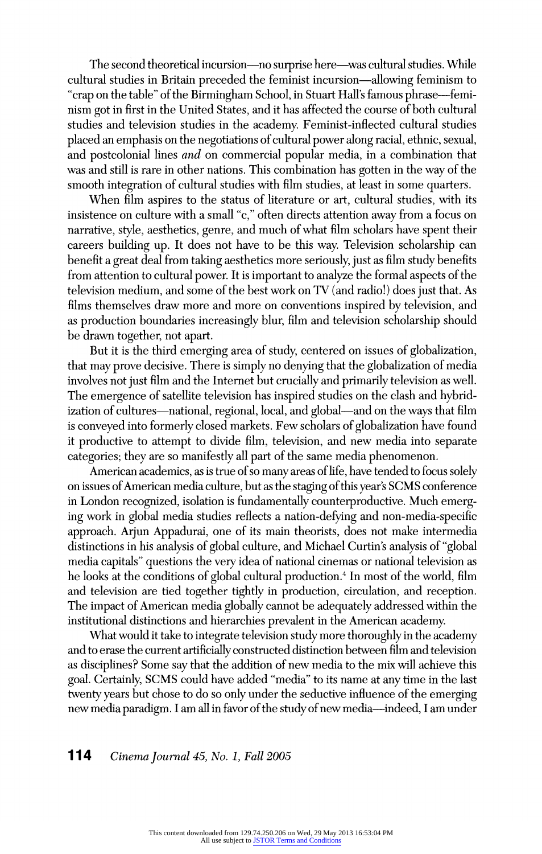**The second theoretical incursion-no surprise here-was cultural studies. While cultural studies in Britain preceded the feminist incursion-allowing feminism to "crap on the table" of the Birmingham School, in Stuart Hall's famous phrase-feminism got in first in the United States, and it has affected the course of both cultural studies and television studies in the academy. Feminist-inflected cultural studies placed an emphasis on the negotiations of cultural power along racial, ethnic, sexual, and postcolonial lines and on commercial popular media, in a combination that was and still is rare in other nations. This combination has gotten in the way of the smooth integration of cultural studies with film studies, at least in some quarters.** 

**When film aspires to the status of literature or art, cultural studies, with its insistence on culture with a small "c," often directs attention away from a focus on narrative, style, aesthetics, genre, and much of what film scholars have spent their careers building up. It does not have to be this way. Television scholarship can benefit a great deal from taking aesthetics more seriously, just as film study benefits from attention to cultural power. It is important to analyze the formal aspects of the television medium, and some of the best work on TV (and radio!) does just that. As films themselves draw more and more on conventions inspired by television, and as production boundaries increasingly blur, film and television scholarship should be drawn together, not apart.** 

**But it is the third emerging area of study, centered on issues of globalization, that may prove decisive. There is simply no denying that the globalization of media involves not just film and the Internet but crucially and primarily television as well. The emergence of satellite television has inspired studies on the clash and hybrid**ization of cultures-national, regional, local, and global-and on the ways that film **is conveyed into formerly closed markets. Few scholars of globalization have found it productive to attempt to divide film, television, and new media into separate categories; they are so manifestly all part of the same media phenomenon.** 

**American academics, as is true of so many areas of life, have tended to focus solely on issues of American media culture, but as the staging of this year's SCMS conference in London recognized, isolation is fundamentally counterproductive. Much emerging work in global media studies reflects a nation-defying and non-media-specific approach. Arjun Appadurai, one of its main theorists, does not make intermedia distinctions in his analysis of global culture, and Michael Curtin's analysis of "global media capitals" questions the very idea of national cinemas or national television as he looks at the conditions of global cultural production.4 In most of the world, film and television are tied together tightly in production, circulation, and reception. The impact of American media globally cannot be adequately addressed within the institutional distinctions and hierarchies prevalent in the American academy.** 

**What would it take to integrate television study more thoroughly in the academy and to erase the current artificially constructed distinction between film and television as disciplines? Some say that the addition of new media to the mix will achieve this goal. Certainly, SCMS could have added "media" to its name at any time in the last twenty years but chose to do so only under the seductive influence of the emerging new media paradigm. I am all in favor of the study of new media-indeed, I am under** 

### **114 Cinema Journal 45, No. 1, Fall 2005**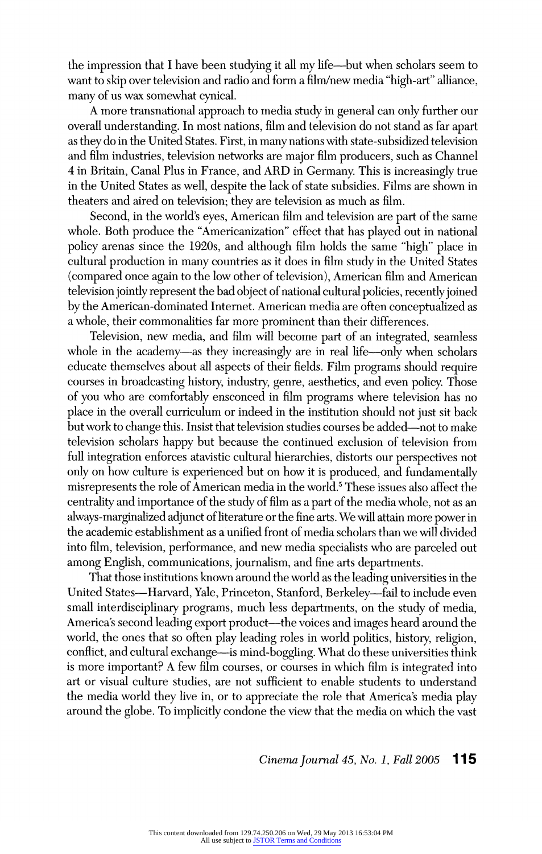**the impression that I have been studying it all my life-but when scholars seem to want to skip over television and radio and form a film/new media "high-art" alliance, many of us wax somewhat cynical.** 

**A more transnational approach to media study in general can only further our overall understanding. In most nations, film and television do not stand as far apart as they do in the United States. First, in many nations with state-subsidized television and film industries, television networks are major film producers, such as Channel 4 in Britain, Canal Plus in France, and ARD in Germany. This is increasingly true in the United States as well, despite the lack of state subsidies. Films are shown in theaters and aired on television; they are television as much as film.** 

**Second, in the world's eyes, American film and television are part of the same whole. Both produce the "Americanization" effect that has played out in national policy arenas since the 1920s, and although film holds the same "high" place in cultural production in many countries as it does in film study in the United States (compared once again to the low other of television), American film and American television jointly represent the bad object of national cultural policies, recently joined by the American-dominated Internet. American media are often conceptualized as a whole, their commonalities far more prominent than their differences.** 

**Television, new media, and film will become part of an integrated, seamless**  whole in the academy-as they increasingly are in real life-only when scholars **educate themselves about all aspects of their fields. Film programs should require courses in broadcasting history, industry, genre, aesthetics, and even policy. Those of you who are comfortably ensconced in film programs where television has no place in the overall curriculum or indeed in the institution should not just sit back but work to change this. Insist that television studies courses be added-not to make television scholars happy but because the continued exclusion of television from full integration enforces atavistic cultural hierarchies, distorts our perspectives not only on how culture is experienced but on how it is produced, and fundamentally misrepresents the role of American media in the world.5 These issues also affect the centrality and importance of the study of film as a part of the media whole, not as an always-marginalized adjunct of literature or the fine arts. We will attain more power in the academic establishment as a unified front of media scholars than we will divided into film, television, performance, and new media specialists who are parceled out among English, communications, journalism, and fine arts departments.** 

**That those institutions known around the world as the leading universities in the United States-Harvard, Yale, Princeton, Stanford, Berkeley-fail to include even small interdisciplinary programs, much less departments, on the study of media,**  America's second leading export product—the voices and images heard around the **world, the ones that so often play leading roles in world politics, history, religion, conflict, and cultural exchange-is mind-boggling. What do these universities think is more important? A few film courses, or courses in which film is integrated into art or visual culture studies, are not sufficient to enable students to understand the media world they live in, or to appreciate the role that America's media play around the globe. To implicitly condone the view that the media on which the vast**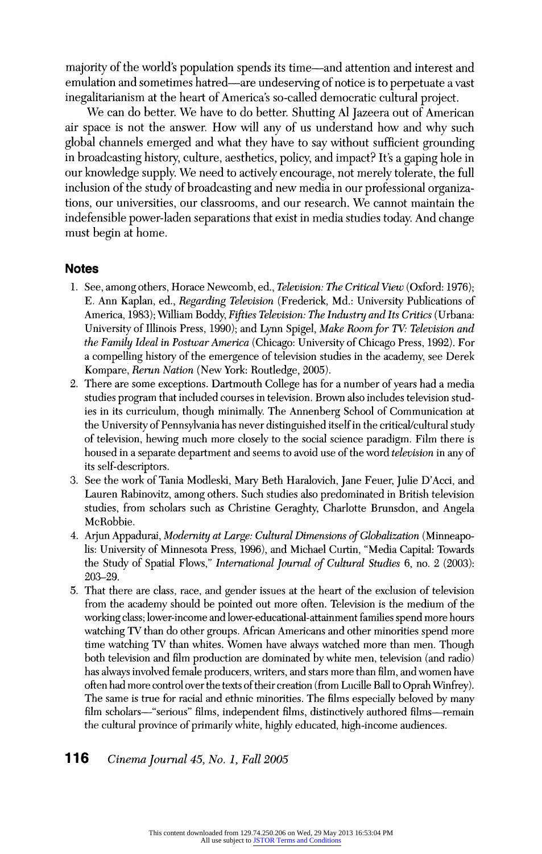**majority of the world's population spends its time-and attention and interest and**  emulation and sometimes hatred-are undeserving of notice is to perpetuate a vast **inegalitarianism at the heart of America's so-called democratic cultural project.** 

**We can do better. We have to do better. Shutting Al Jazeera out of American air space is not the answer. How will any of us understand how and why such global channels emerged and what they have to say without sufficient grounding in broadcasting history, culture, aesthetics, policy, and impact? It's a gaping hole in our knowledge supply. We need to actively encourage, not merely tolerate, the full inclusion of the study of broadcasting and new media in our professional organizations, our universities, our classrooms, and our research. We cannot maintain the indefensible power-laden separations that exist in media studies today. And change must begin at home.** 

#### **Notes**

- **1. See, among others, Horace Newcomb, ed., Television: The Critical View (Oxford: 1976); E. Ann Kaplan, ed., Regarding Television (Frederick, Md.: University Publications of America, 1983); William Boddy, Fifties Television: The Industry and Its Critics (Urbana: University of Illinois Press, 1990); and Lynn Spigel, Make Roomfor TV: Television and the Family Ideal in Postwar America (Chicago: University of Chicago Press, 1992). For a compelling history of the emergence of television studies in the academy, see Derek Kompare, Rerun Nation (New York: Routledge, 2005).**
- **2. There are some exceptions. Dartmouth College has for a number of years had a media studies program that included courses in television. Brown also includes television studies in its curriculum, though minimally. The Annenberg School of Communication at the University of Pennsylvania has never distinguished itself in the critical/cultural study of television, hewing much more closely to the social science paradigm. Film there is housed in a separate department and seems to avoid use of the word television in any of its self-descriptors.**
- **3. See the work of Tania Modleski, Mary Beth Haralovich, Jane Feuer, Julie D'Acci, and Lauren Rabinovitz, among others. Such studies also predominated in British television studies, from scholars such as Christine Geraghty, Charlotte Brunsdon, and Angela McRobbie.**
- **4. Arjun Appadurai, Modernity at Large: Cultural Dimensions of Globalization (Minneapolis: University of Minnesota Press, 1996), and Michael Curtin, "Media Capital: Towards the Study of Spatial Flows," International Journal of Cultural Studies 6, no. 2 (2003): 203-29.**
- **5. That there are class, race, and gender issues at the heart of the exclusion of television from the academy should be pointed out more often. Television is the medium of the working class; lower-income and lower-educational-attainment families spend more hours watching TV than do other groups. African Americans and other minorities spend more time watching TV than whites. Women have always watched more than men. Though both television and film production are dominated by white men, television (and radio) has always involved female producers, writers, and stars more than film, and women have often had more control over the texts of their creation (from Lucille Ball to Oprah Winfrey). The same is true for racial and ethnic minorities. The films especially beloved by many**  film scholars—"serious" films, independent films, distinctively authored films—remain **the cultural province of primarily white, highly educated, high-income audiences.**

#### **116 Cinema Journal 45, No. 1, Fall 2005**